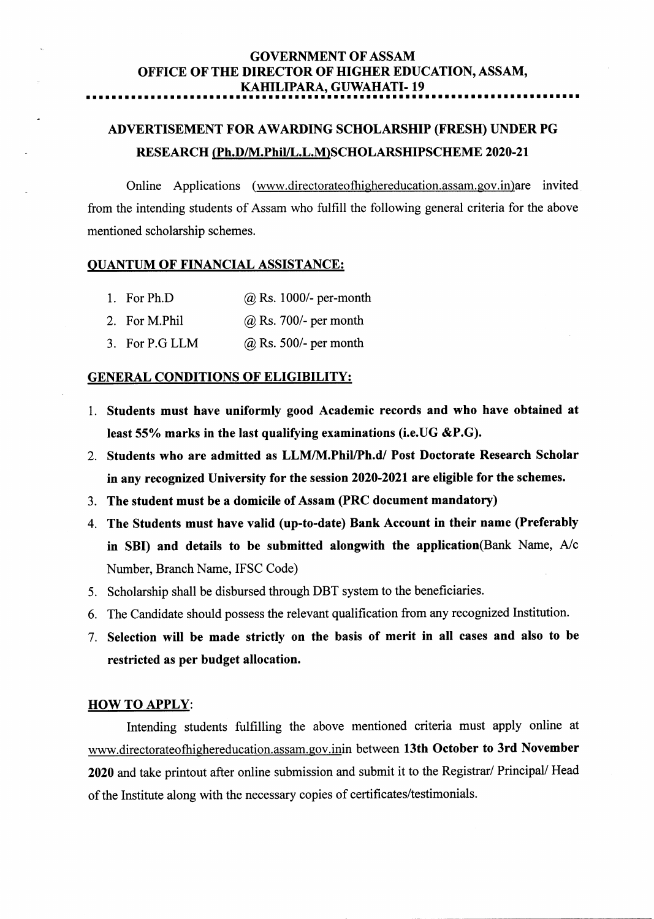#### GOVERNMENT OF ASSAM OFFICE OF THE DIRECTOR OF HIGHER EDUCATION, ASSAM, KAHILIPARA, GUWAHATI-19 rtaltrarrrrrrrrarrarrarrarra.<br>India

# ADVERTISEMENT FOR AWARDING SCHOLARSHIP (FRESH) UNDER PG RESEARCH (Ph.D/M.Phil/L.L.M)SCHOLARSHIPSCHEME 2020-21

Online Applications (www.directorateofhighereducation.assam.gov.in)are invited from the intending students of Assam who fulfill the following general criteria for the above mentioned scholarship schemes.

#### QUANTUM OF FINANCIAL ASSISTANCE:

- l. For Ph.D @ Rs. 1000/- per-month
- 2. For M.Phil  $@$  Rs. 700/- per month
- 3. For P.G LLM @ Rs. 500/- per month

#### GENERAL CONDITIONS OF ELIGIBILITY:

- l. Students must have uniformly good Academic records and who have obtained at least 55% marks in the last qualifying examinations (i.e. UG & P.G).
- 2. Students who are admitted as LLM/M.Phil/Ph.d/ Post Doctorate Research Scholar in any recognized University for the session 2020-2021 are eligible for the schemes.
- 3. The student must be a domicile of Assam (PRC document mandatory)
- 4. The Students must have valid (up-to-date) Bank Account in their name (Preferably in SBI) and details to be submitted alongwith the application(Bank Name,  $A/c$ Number, Branch Name, IFSC Code)
- 5. Scholarship shall be disbursed through DBT system to the beneficiaries.
- 6. The Candidate should possess the relevant qualification from any recognized Institution.
- 7. Selection witl be made strictly on the basis of merit in all cases and also to be restricted as per budget allocation.

#### HOW TO APPLY:

Intending students fulfilling the above mentioned criteria must apply online at www.directorateofhighereducation.assam.gov.inin between 13th October to 3rd November 2020 and take printout after online submission and submit it to the Registrar/ Principal/ Head of the Institute along with the necessary copies of certificates/testimonials.